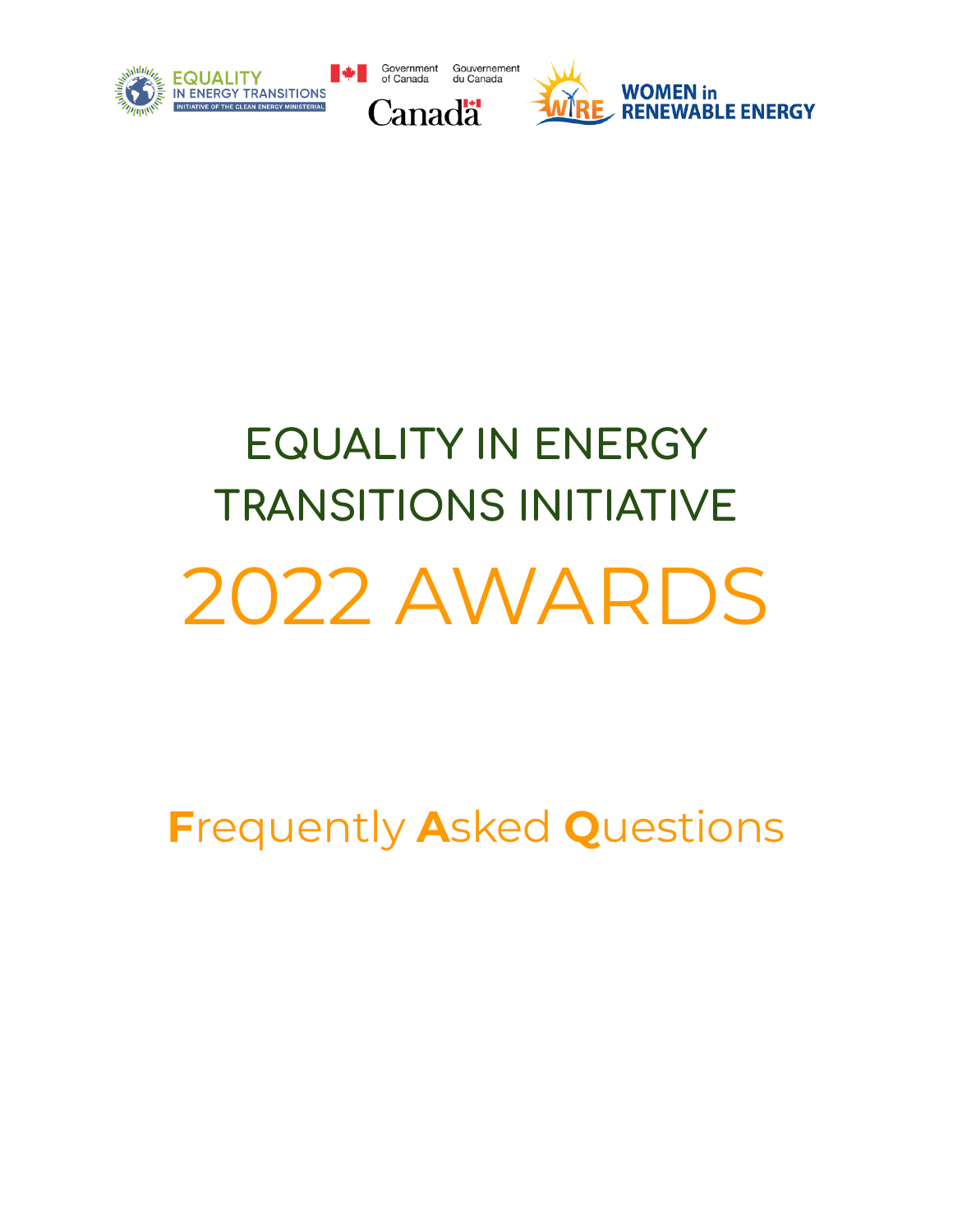

# **EQUALITY IN ENERGY TRANSITIONS INITIATIVE** 2022 AWARDS

**F**requently **A**sked **Q**uestions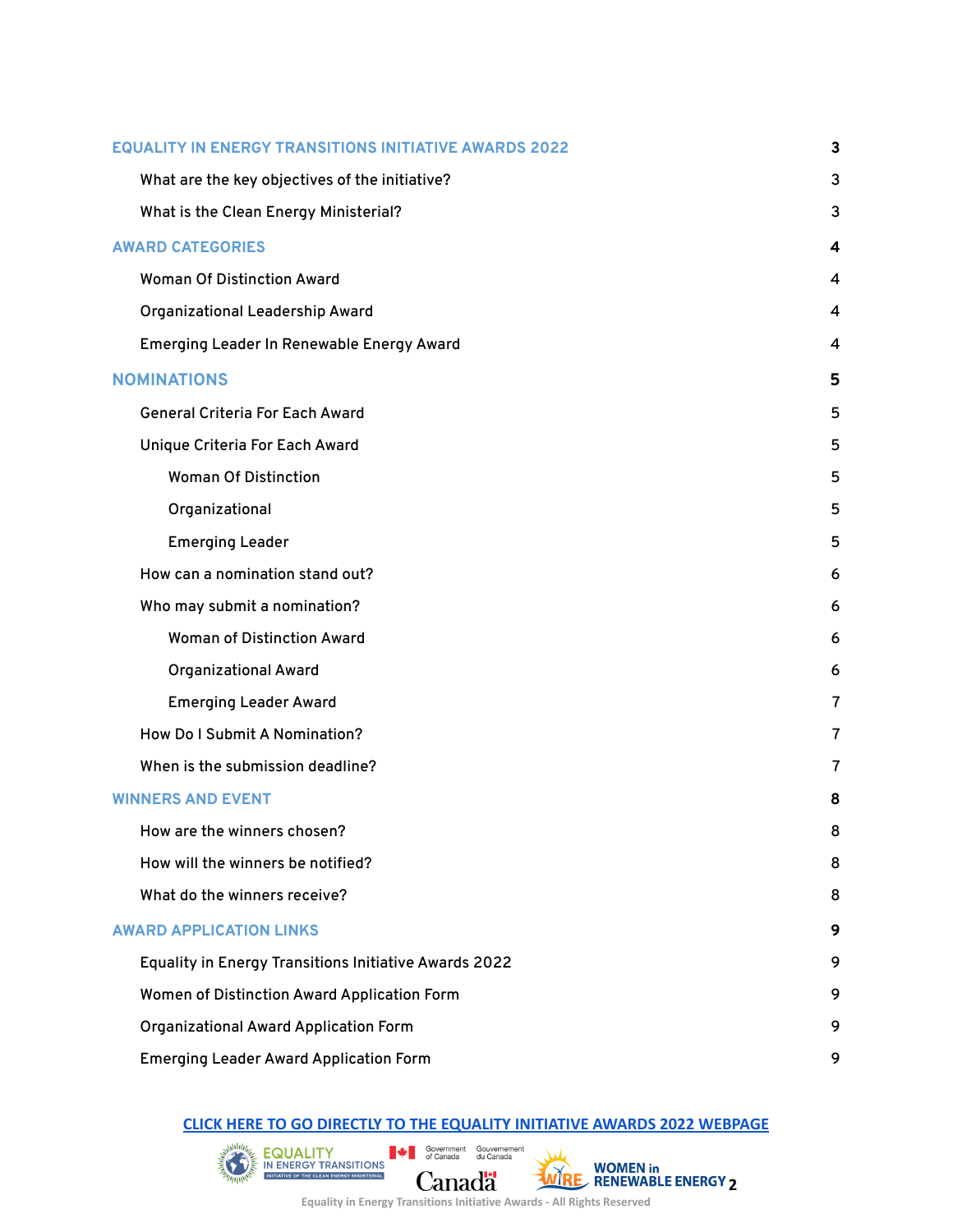| <b>EQUALITY IN ENERGY TRANSITIONS INITIATIVE AWARDS 2022</b> |                                                       | 3              |
|--------------------------------------------------------------|-------------------------------------------------------|----------------|
|                                                              | What are the key objectives of the initiative?        | 3              |
|                                                              | What is the Clean Energy Ministerial?                 | 3              |
| <b>AWARD CATEGORIES</b>                                      |                                                       | 4              |
|                                                              | <b>Woman Of Distinction Award</b>                     | 4              |
|                                                              | <b>Organizational Leadership Award</b>                | 4              |
|                                                              | Emerging Leader In Renewable Energy Award             | 4              |
|                                                              | <b>NOMINATIONS</b>                                    | 5              |
|                                                              | <b>General Criteria For Each Award</b>                | 5              |
|                                                              | Unique Criteria For Each Award                        | 5              |
|                                                              | <b>Woman Of Distinction</b>                           | 5              |
|                                                              | Organizational                                        | 5              |
|                                                              | <b>Emerging Leader</b>                                | 5              |
|                                                              | How can a nomination stand out?                       | 6              |
|                                                              | Who may submit a nomination?                          | 6              |
|                                                              | <b>Woman of Distinction Award</b>                     | 6              |
|                                                              | <b>Organizational Award</b>                           | 6              |
|                                                              | <b>Emerging Leader Award</b>                          | $\overline{7}$ |
|                                                              | How Do I Submit A Nomination?                         | $\overline{7}$ |
|                                                              | When is the submission deadline?                      | 7              |
| <b>WINNERS AND EVENT</b>                                     |                                                       | 8              |
|                                                              | How are the winners chosen?                           | 8              |
|                                                              | How will the winners be notified?                     | 8              |
|                                                              | What do the winners receive?                          | 8              |
| <b>AWARD APPLICATION LINKS</b>                               |                                                       | 9              |
|                                                              | Equality in Energy Transitions Initiative Awards 2022 | 9              |
|                                                              | Women of Distinction Award Application Form           | 9              |
|                                                              | <b>Organizational Award Application Form</b>          | 9              |
|                                                              | <b>Emerging Leader Award Application Form</b>         | 9              |

#### **CLICK HERE TO GO [DIRECTLY](https://www.cleanenergyministerial.org/) TO THE [EQUALITY](https://www.nrcan.gc.ca/home) [INITIATIVE](https://womeninrenewableenergy.ca/equality-in-energy-transitions-initiative-awards-2022) [AWARDS](https://womeninrenewableenergy.ca/) 2022 WEBPAGE**

 $\mathbb{R}$   $\mathbb{R}$   $\mathbb{R}$   $\mathbb{R}$   $\mathbb{R}$   $\mathbb{R}$   $\mathbb{R}$   $\mathbb{R}$   $\mathbb{R}$   $\mathbb{R}$   $\mathbb{R}$   $\mathbb{R}$   $\mathbb{R}$   $\mathbb{R}$   $\mathbb{R}$   $\mathbb{R}$   $\mathbb{R}$   $\mathbb{R}$   $\mathbb{R}$   $\mathbb{R}$   $\mathbb{R}$   $\mathbb{R}$   $\mathbb{R}$   $\mathbb{R}$   $\mathbb{$ **222 WOMEN in**<br>**2***MIRE* RENEWABLE ENERGY 2 Canadä

щ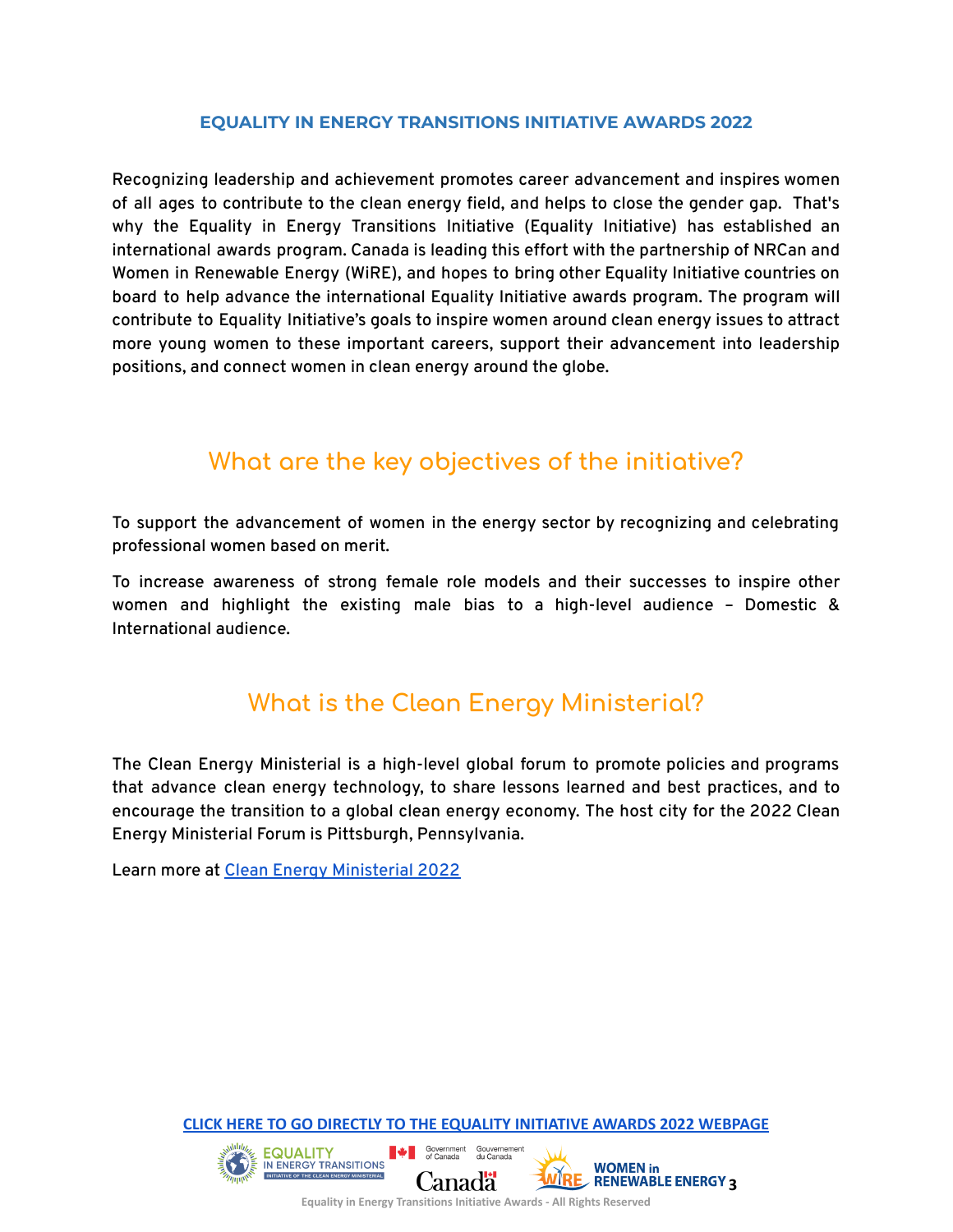#### **EQUALITY IN ENERGY TRANSITIONS INITIATIVE AWARDS 2022**

<span id="page-2-0"></span>Recognizing leadership and achievement promotes career advancement and inspires women of all ages to contribute to the clean energy field, and helps to close the gender gap. That's why the Equality in Energy Transitions Initiative (Equality Initiative) has established an international awards program. Canada is leading this effort with the partnership of NRCan and Women in Renewable Energy (WiRE), and hopes to bring other Equality Initiative countries on board to help advance the international Equality Initiative awards program. The program will contribute to Equality Initiative's goals to inspire women around clean energy issues to attract more young women to these important careers, support their advancement into leadership positions, and connect women in clean energy around the globe.

## **What are the key objectives of the initiative?**

<span id="page-2-1"></span>To support the advancement of women in the energy sector by recognizing and celebrating professional women based on merit.

To increase awareness of strong female role models and their successes to inspire other women and highlight the existing male bias to a high-level audience – Domestic & International audience.

## **What is the Clean Energy Ministerial?**

<span id="page-2-2"></span>The Clean Energy Ministerial is a high-level global forum to promote policies and programs that advance clean energy technology, to share lessons learned and best practices, and to encourage the transition to a global clean energy economy. The host city for the 2022 Clean Energy Ministerial Forum is Pittsburgh, Pennsylvania.

Learn more at Clean Energy [Ministerial](https://www.energy.gov/articles/doe-will-host-2022-joint-international-clean-energy-and-mission-innovation-ministerials) 2022

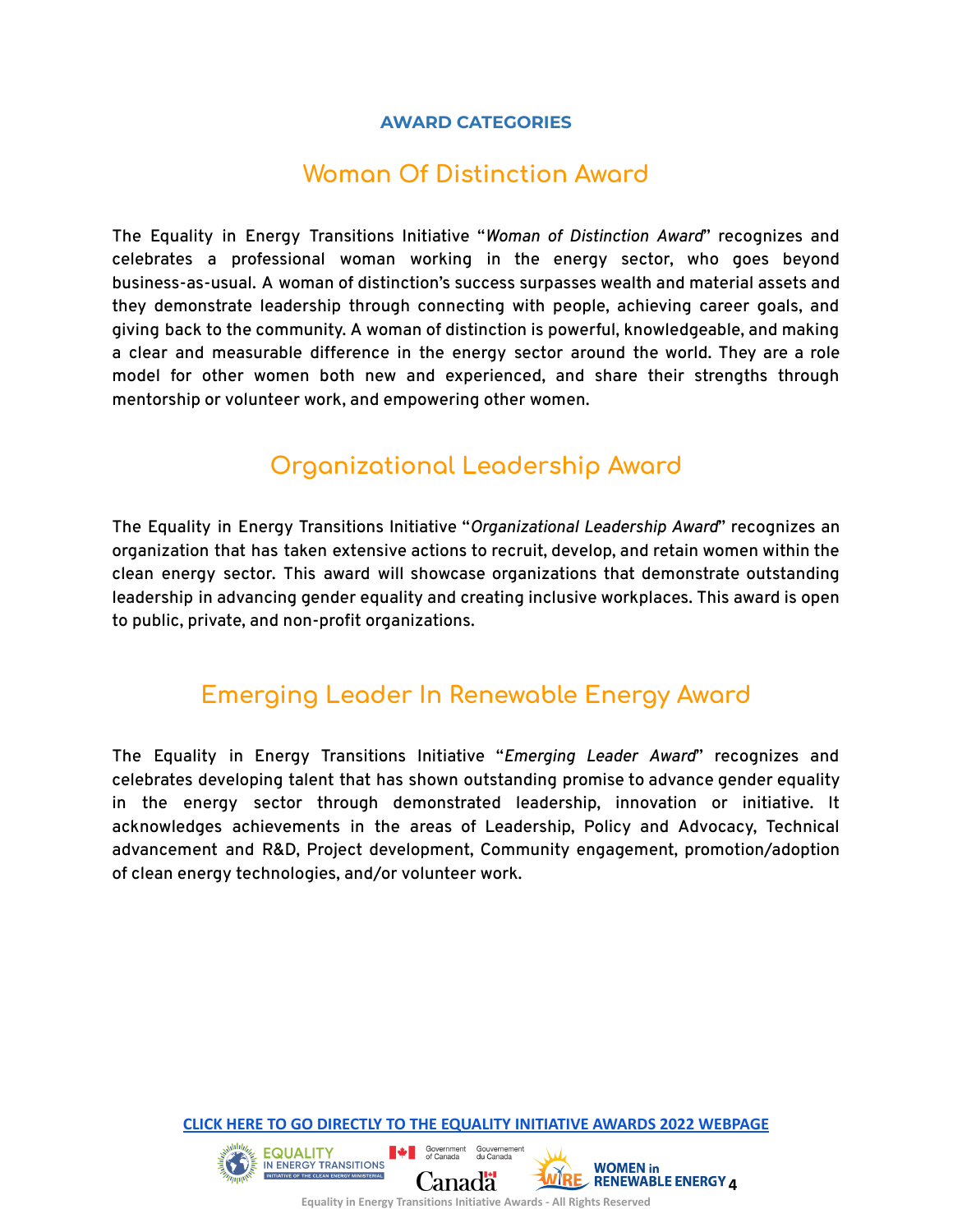#### **AWARD CATEGORIES**

## **Woman Of Distinction Award**

<span id="page-3-1"></span><span id="page-3-0"></span>The Equality in Energy Transitions Initiative "*Woman of Distinction Award*" recognizes and celebrates a professional woman working in the energy sector, who goes beyond business-as-usual. A woman of distinction's success surpasses wealth and material assets and they demonstrate leadership through connecting with people, achieving career goals, and giving back to the community. A woman of distinction is powerful, knowledgeable, and making a clear and measurable difference in the energy sector around the world. They are a role model for other women both new and experienced, and share their strengths through mentorship or volunteer work, and empowering other women.

## **Organizational Leadership Award**

<span id="page-3-2"></span>The Equality in Energy Transitions Initiative "*Organizational Leadership Award*" recognizes an organization that has taken extensive actions to recruit, develop, and retain women within the clean energy sector. This award will showcase organizations that demonstrate outstanding leadership in advancing gender equality and creating inclusive workplaces. This award is open to public, private, and non-profit organizations.

## **Emerging Leader In Renewable Energy Award**

<span id="page-3-3"></span>The Equality in Energy Transitions Initiative "*Emerging Leader Award*" recognizes and celebrates developing talent that has shown outstanding promise to advance gender equality in the energy sector through demonstrated leadership, innovation or initiative. It acknowledges achievements in the areas of Leadership, Policy and Advocacy, Technical advancement and R&D, Project development, Community engagement, promotion/adoption of clean energy technologies, and/or volunteer work.

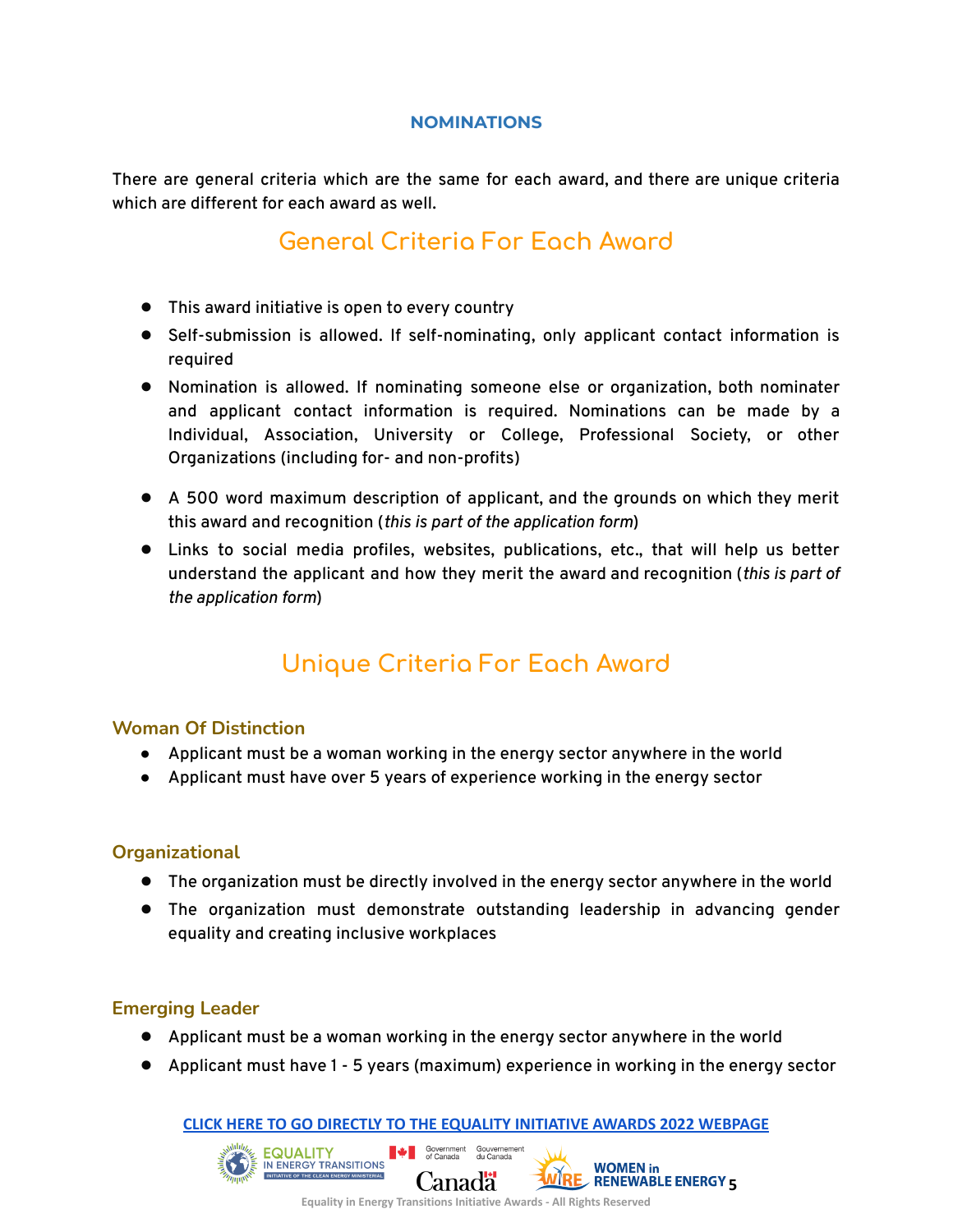#### **NOMINATIONS**

<span id="page-4-1"></span><span id="page-4-0"></span>There are general criteria which are the same for each award, and there are unique criteria which are different for each award as well.

## **General Criteria For Each Award**

- This award initiative is open to every country
- Self-submission is allowed. If self-nominating, only applicant contact information is required
- Nomination is allowed. If nominating someone else or organization, both nominater and applicant contact information is required. Nominations can be made by a Individual, Association, University or College, Professional Society, or other Organizations (including for- and non-profits)
- A 500 word maximum description of applicant, and the grounds on which they merit this award and recognition (*this is part of the application form*)
- Links to social media profiles, websites, publications, etc., that will help us better understand the applicant and how they merit the award and recognition (*this is part of the application form*)

# **Unique Criteria For Each Award**

#### <span id="page-4-3"></span><span id="page-4-2"></span>**Woman Of Distinction**

- Applicant must be a woman working in the energy sector anywhere in the world
- Applicant must have over 5 years of experience working in the energy sector

#### <span id="page-4-4"></span>**Organizational**

- The organization must be directly involved in the energy sector anywhere in the world
- The organization must demonstrate outstanding leadership in advancing gender equality and creating inclusive workplaces

#### <span id="page-4-5"></span>**Emerging Leader**

- Applicant must be a woman working in the energy sector anywhere in the world
- Applicant must have 1 5 years (maximum) experience in working in the energy sector

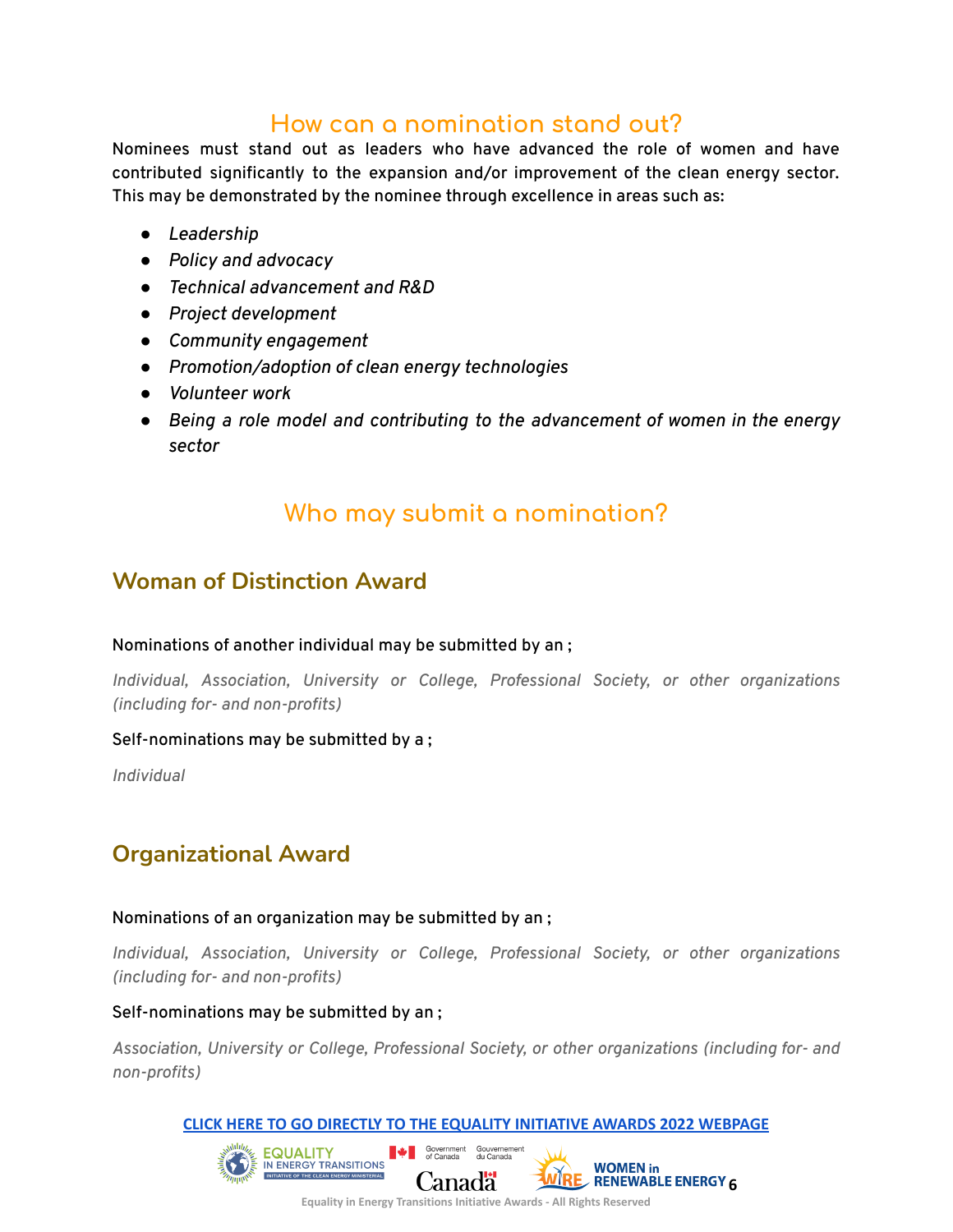## **How can a nomination stand out?**

<span id="page-5-0"></span>Nominees must stand out as leaders who have advanced the role of women and have contributed significantly to the expansion and/or improvement of the clean energy sector. This may be demonstrated by the nominee through excellence in areas such as:

- *● Leadership*
- *● Policy and advocacy*
- *● Technical advancement and R&D*
- *● Project development*
- *● Community engagement*
- *● Promotion/adoption of clean energy technologies*
- *● Volunteer work*
- *● Being a role model and contributing to the advancement of women in the energy sector*

## **Who may submit a nomination?**

### <span id="page-5-2"></span><span id="page-5-1"></span>**Woman of Distinction Award**

#### Nominations of another individual may be submitted by an ;

*Individual, Association, University or College, Professional Society, or other organizations (including for- and non-profits)*

#### Self-nominations may be submitted by a ;

*Individual*

## <span id="page-5-3"></span>**Organizational Award**

#### Nominations of an organization may be submitted by an ;

*Individual, Association, University or College, Professional Society, or other organizations (including for- and non-profits)*

#### Self-nominations may be submitted by an ;

*Association, University or College, Professional Society, or other organizations (including for- and non-profits)*

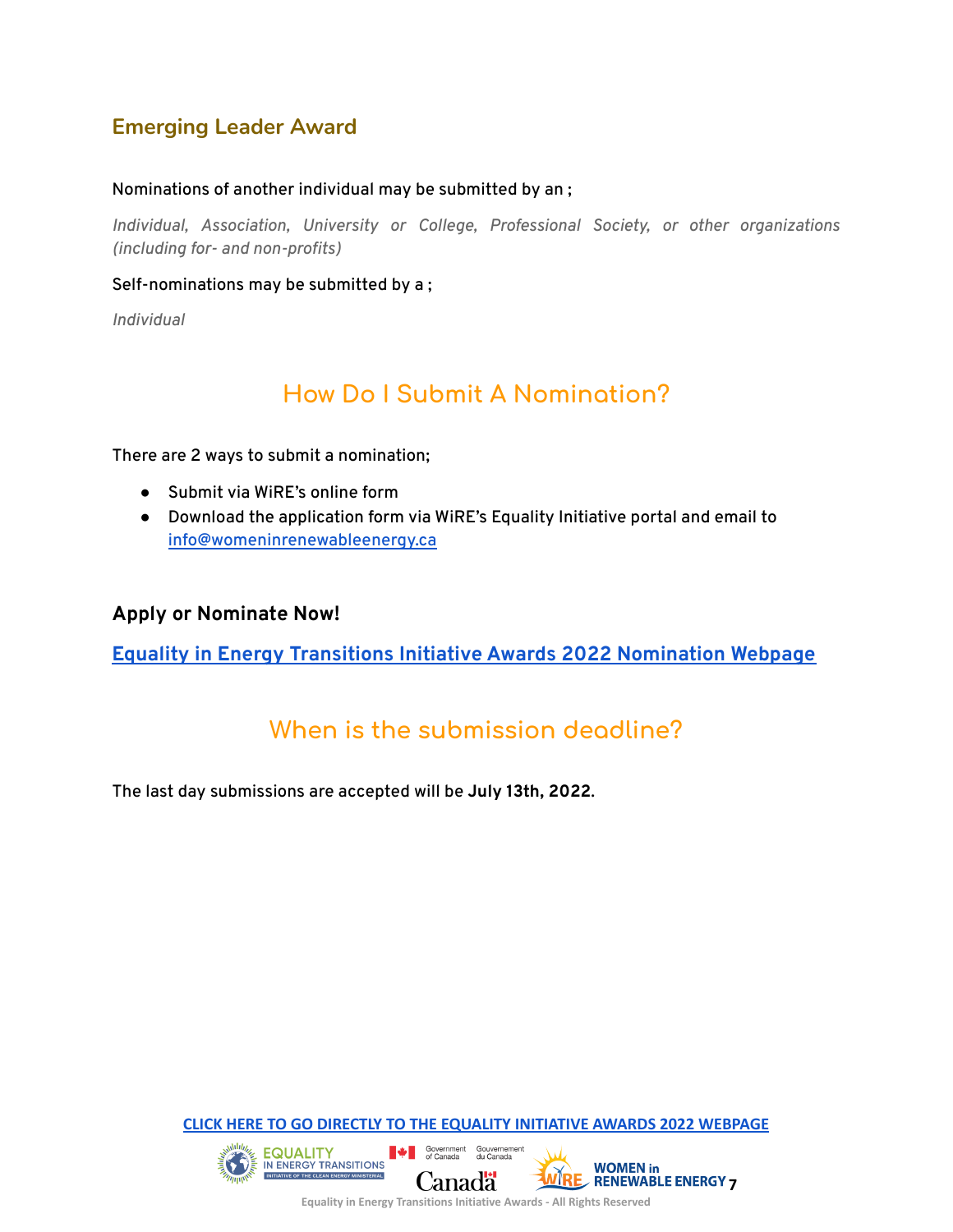## <span id="page-6-0"></span>**Emerging Leader Award**

#### Nominations of another individual may be submitted by an ;

*Individual, Association, University or College, Professional Society, or other organizations (including for- and non-profits)*

#### Self-nominations may be submitted by a ;

*Individual*

## **How Do I Submit A Nomination?**

<span id="page-6-1"></span>There are 2 ways to submit a nomination;

- Submit via WiRE's online form
- Download the application form via WiRE's Equality Initiative portal and email to [info@womeninrenewableenergy.ca](mailto:info@womeninrenewableenergy.ca)

#### **Apply or Nominate Now!**

**Equality in Energy Transitions Initiative Awards 2022 [Nomination](https://womeninrenewableenergy.ca/equality-in-energy-transitions-initiative-awards-2022) Webpage**

## **When is the submission deadline?**

<span id="page-6-2"></span>The last day submissions are accepted will be **July 13th, 2022**.

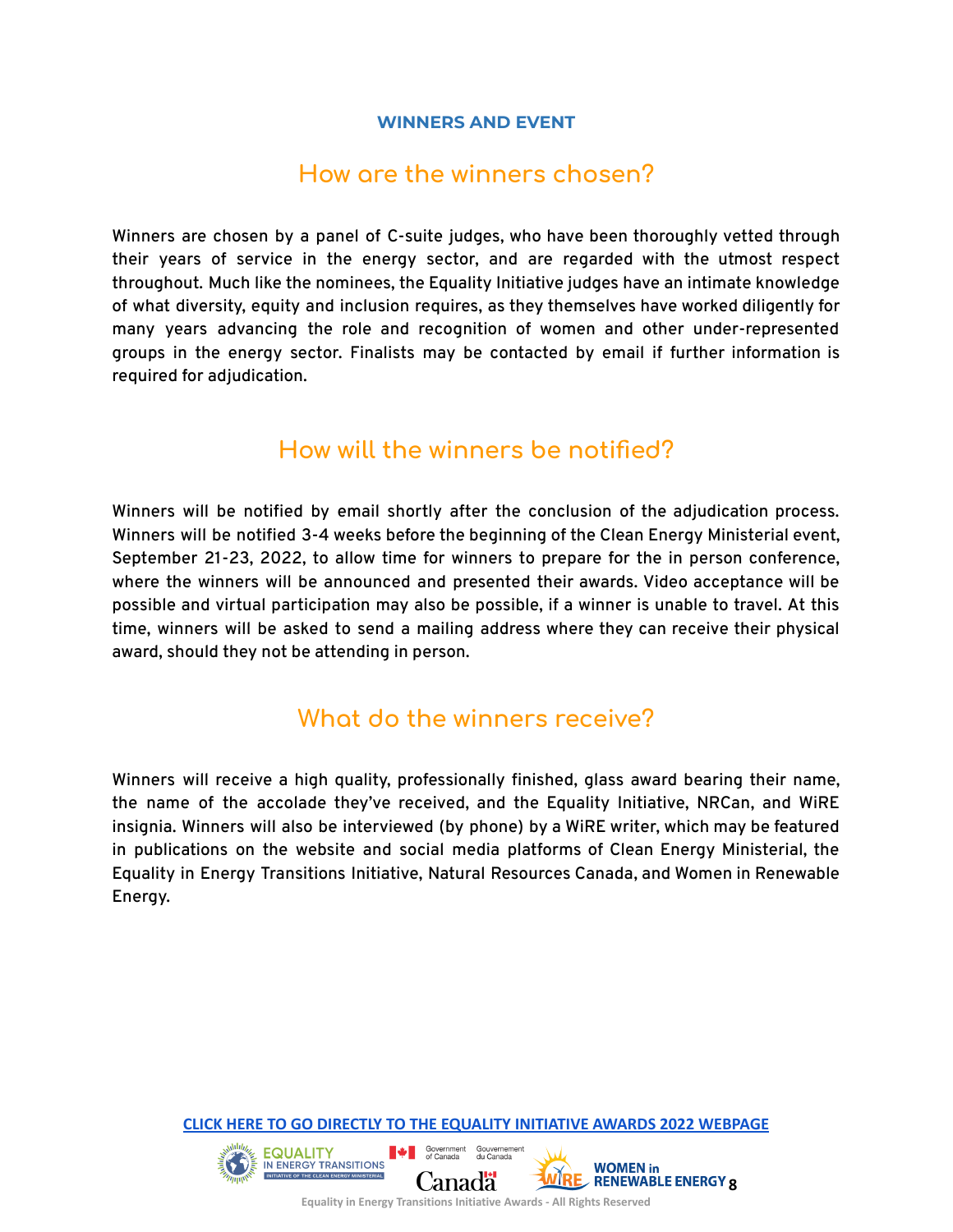#### **WINNERS AND EVENT**

### **How are the winners chosen?**

<span id="page-7-1"></span><span id="page-7-0"></span>Winners are chosen by a panel of C-suite judges, who have been thoroughly vetted through their years of service in the energy sector, and are regarded with the utmost respect throughout. Much like the nominees, the Equality Initiative judges have an intimate knowledge of what diversity, equity and inclusion requires, as they themselves have worked diligently for many years advancing the role and recognition of women and other under-represented groups in the energy sector. Finalists may be contacted by email if further information is required for adjudication.

## **How will the winners be notified?**

<span id="page-7-2"></span>Winners will be notified by email shortly after the conclusion of the adjudication process. Winners will be notified 3-4 weeks before the beginning of the Clean Energy Ministerial event, September 21-23, 2022, to allow time for winners to prepare for the in person conference, where the winners will be announced and presented their awards. Video acceptance will be possible and virtual participation may also be possible, if a winner is unable to travel. At this time, winners will be asked to send a mailing address where they can receive their physical award, should they not be attending in person.

## **What do the winners receive?**

<span id="page-7-3"></span>Winners will receive a high quality, professionally finished, glass award bearing their name, the name of the accolade they've received, and the Equality Initiative, NRCan, and WiRE insignia. Winners will also be interviewed (by phone) by a WiRE writer, which may be featured in publications on the website and social media platforms of Clean Energy Ministerial, the Equality in Energy Transitions Initiative, Natural Resources Canada, and Women in Renewable Energy.